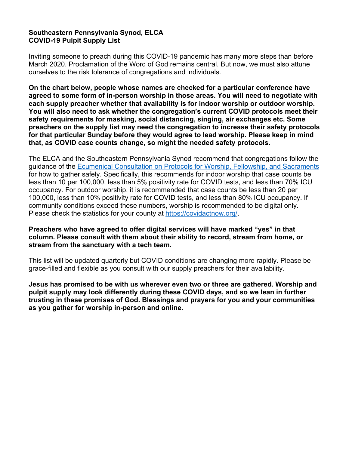## **Southeastern Pennsylvania Synod, ELCA COVID-19 Pulpit Supply List**

Inviting someone to preach during this COVID-19 pandemic has many more steps than before March 2020. Proclamation of the Word of God remains central. But now, we must also attune ourselves to the risk tolerance of congregations and individuals.

**On the chart below, people whose names are checked for a particular conference have agreed to some form of in-person worship in those areas. You will need to negotiate with each supply preacher whether that availability is for indoor worship or outdoor worship. You will also need to ask whether the congregation's current COVID protocols meet their safety requirements for masking, social distancing, singing, air exchanges etc. Some preachers on the supply list may need the congregation to increase their safety protocols for that particular Sunday before they would agree to lead worship. Please keep in mind that, as COVID case counts change, so might the needed safety protocols.** 

The ELCA and the Southeastern Pennsylvania Synod recommend that congregations follow the guidance of the [Ecumenical Consultation on Protocols for Worship, Fellowship, and Sacraments](https://download.elca.org/ELCA%20Resource%20Repository/Care-filled_Worship_and_Sacramental_Life_in_a_Lingering_Pandemic.pdf) for how to gather safely. Specifically, this recommends for indoor worship that case counts be less than 10 per 100,000, less than 5% positivity rate for COVID tests, and less than 70% ICU occupancy. For outdoor worship, it is recommended that case counts be less than 20 per 100,000, less than 10% positivity rate for COVID tests, and less than 80% ICU occupancy. If community conditions exceed these numbers, worship is recommended to be digital only. Please check the statistics for your county at [https://covidactnow.org/.](https://covidactnow.org/)

## **Preachers who have agreed to offer digital services will have marked "yes" in that column. Please consult with them about their ability to record, stream from home, or stream from the sanctuary with a tech team.**

This list will be updated quarterly but COVID conditions are changing more rapidly. Please be grace-filled and flexible as you consult with our supply preachers for their availability.

**Jesus has promised to be with us wherever even two or three are gathered. Worship and pulpit supply may look differently during these COVID days, and so we lean in further trusting in these promises of God. Blessings and prayers for you and your communities as you gather for worship in-person and online.**